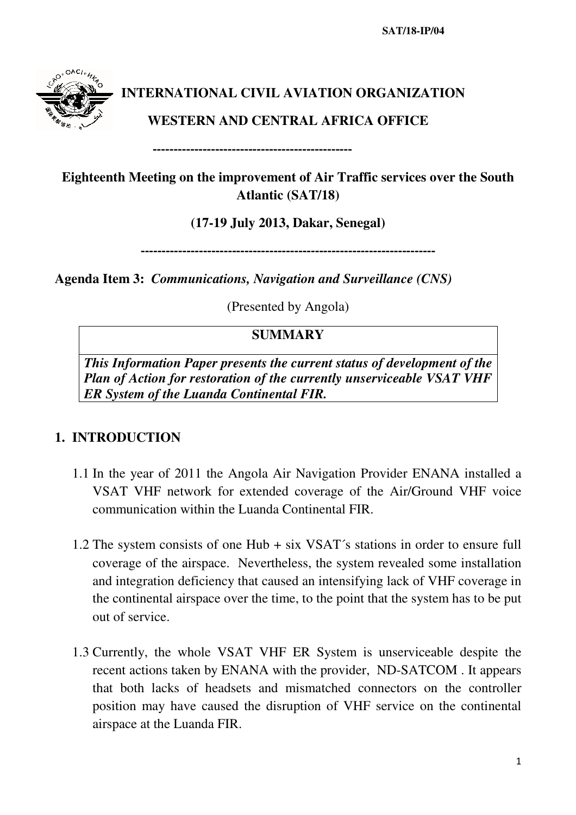**SAT/18-IP/04** 



# **INTERNATIONAL CIVIL AVIATION ORGANIZATION**

## **WESTERN AND CENTRAL AFRICA OFFICE**

**Eighteenth Meeting on the improvement of Air Traffic services over the South Atlantic (SAT/18)** 

# **(17-19 July 2013, Dakar, Senegal)**

-----------------------------------------------------------------------

**Agenda Item 3:** *Communications, Navigation and Surveillance (CNS)*

------------------------------------------------

(Presented by Angola)

#### **SUMMARY**

*This Information Paper presents the current status of development of the Plan of Action for restoration of the currently unserviceable VSAT VHF ER System of the Luanda Continental FIR.* 

# **1. INTRODUCTION**

- 1.1 In the year of 2011 the Angola Air Navigation Provider ENANA installed a VSAT VHF network for extended coverage of the Air/Ground VHF voice communication within the Luanda Continental FIR.
- 1.2 The system consists of one Hub + six VSAT´s stations in order to ensure full coverage of the airspace. Nevertheless, the system revealed some installation and integration deficiency that caused an intensifying lack of VHF coverage in the continental airspace over the time, to the point that the system has to be put out of service.
- 1.3 Currently, the whole VSAT VHF ER System is unserviceable despite the recent actions taken by ENANA with the provider, ND-SATCOM . It appears that both lacks of headsets and mismatched connectors on the controller position may have caused the disruption of VHF service on the continental airspace at the Luanda FIR.